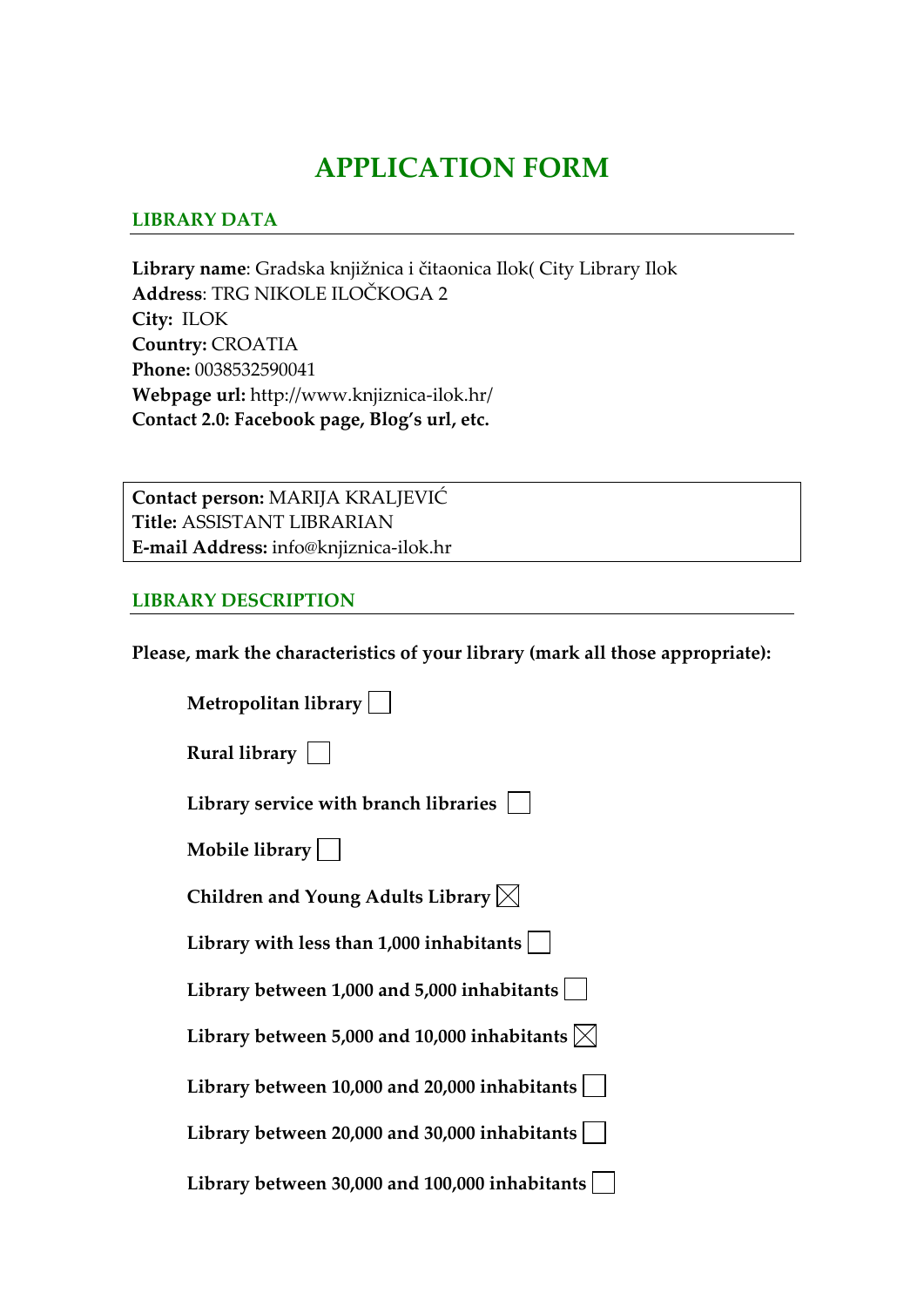# **APPLICATION FORM**

### **LIBRARY DATA**

**Library name**: Gradska knjižnica i čitaonica Ilok( City Library Ilok **Address**: TRG NIKOLE ILOČKOGA 2 **City:** ILOK **Country:** CROATIA **Phone:** 0038532590041 **Webpage url:** http://www.knjiznica‐ilok.hr/ **Contact 2.0: Facebook page, Blog's url, etc.**

**Contact person:** MARIJA KRALJEVIĆ **Title:** ASSISTANT LIBRARIAN **E‐mail Address:** info@knjiznica‐ilok.hr

#### **LIBRARY DESCRIPTION**

**Please, mark the characteristics of your library (mark all those appropriate):**

| Metropolitan library                                    |
|---------------------------------------------------------|
| Rural library $\vert \ \ \vert$                         |
| Library service with branch libraries                   |
| Mobile library $  \quad  $                              |
| Children and Young Adults Library $\boxtimes$           |
| Library with less than $1,000$ inhabitants              |
| Library between 1,000 and 5,000 inhabitants $ $         |
| Library between 5,000 and 10,000 inhabitants $ \times $ |
| Library between $10,000$ and $20,000$ inhabitants       |
| Library between 20,000 and 30,000 inhabitants           |
| Library between 30,000 and 100,000 inhabitants          |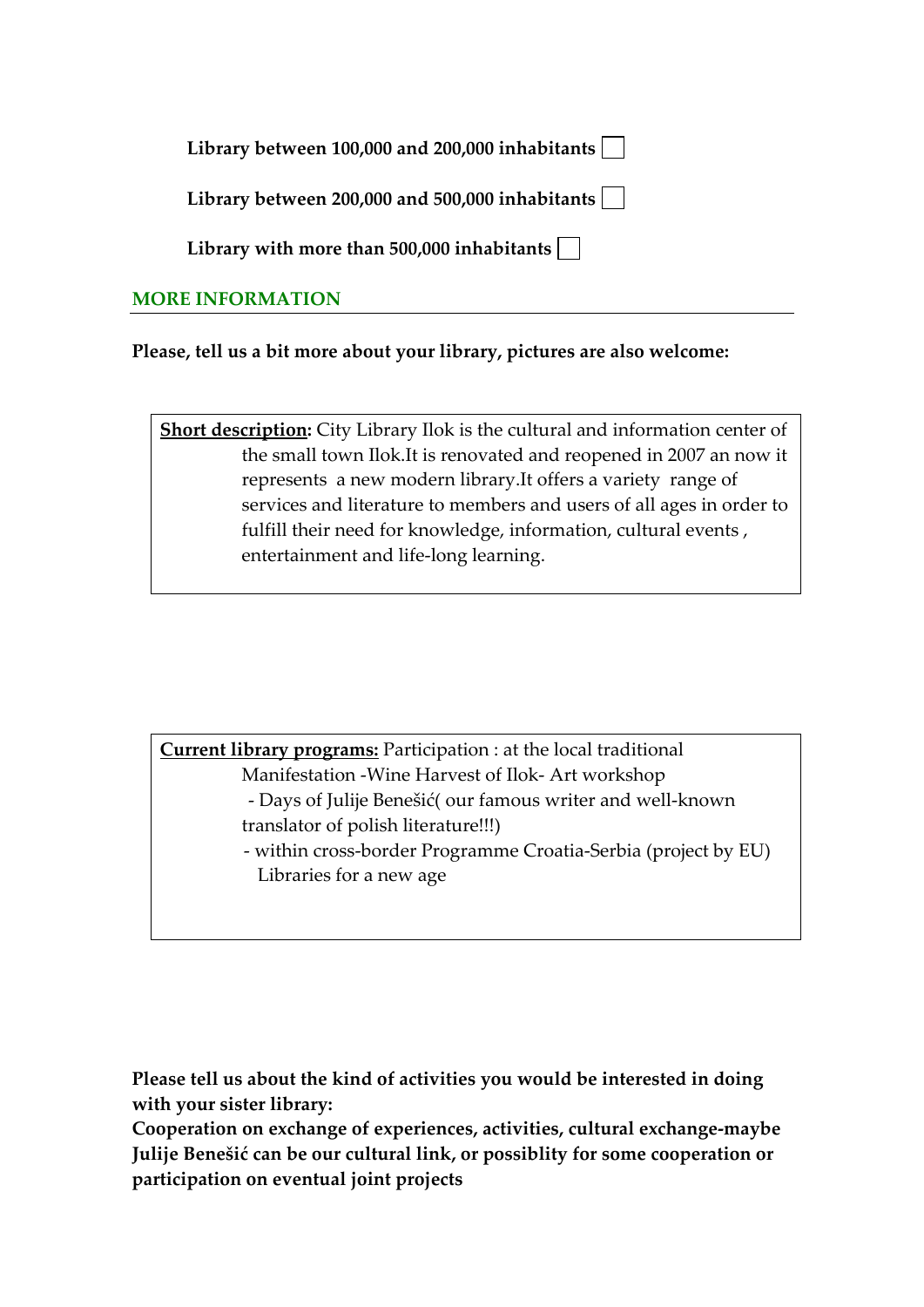|  | Library between 100,000 and 200,000 inhabitants $ \;\; $ |  |
|--|----------------------------------------------------------|--|
|--|----------------------------------------------------------|--|

**Library between 200,000 and 500,000 inhabitants**

**Library with more than 500,000 inhabitants**

## **MORE INFORMATION**

**Please, tell us a bit more about your library, pictures are also welcome:** 

**Short description:** City Library Ilok is the cultural and information center of the small town Ilok.It is renovated and reopened in 2007 an now it represents a new modern library.It offers a variety range of services and literature to members and users of all ages in order to fulfill their need for knowledge, information, cultural events , entertainment and life‐long learning.

**Current library programs:** Participation : at the local traditional Manifestation ‐Wine Harvest of Ilok‐ Art workshop

- ‐ Days of Julije Benešić( our famous writer and well‐known translator of polish literature!!!)
- ‐ within cross‐border Programme Croatia‐Serbia (project by EU) Libraries for a new age

**Please tell us about the kind of activities you would be interested in doing with your sister library:**

**Cooperation on exchange of experiences, activities, cultural exchange‐maybe Julije Benešić can be our cultural link, or possiblity for some cooperation or participation on eventual joint projects**